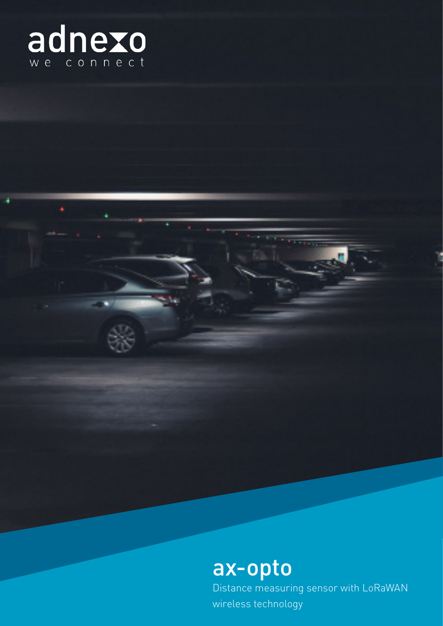

# ax-opto

Distance measuring sensor with LoRaWAN wireless technology